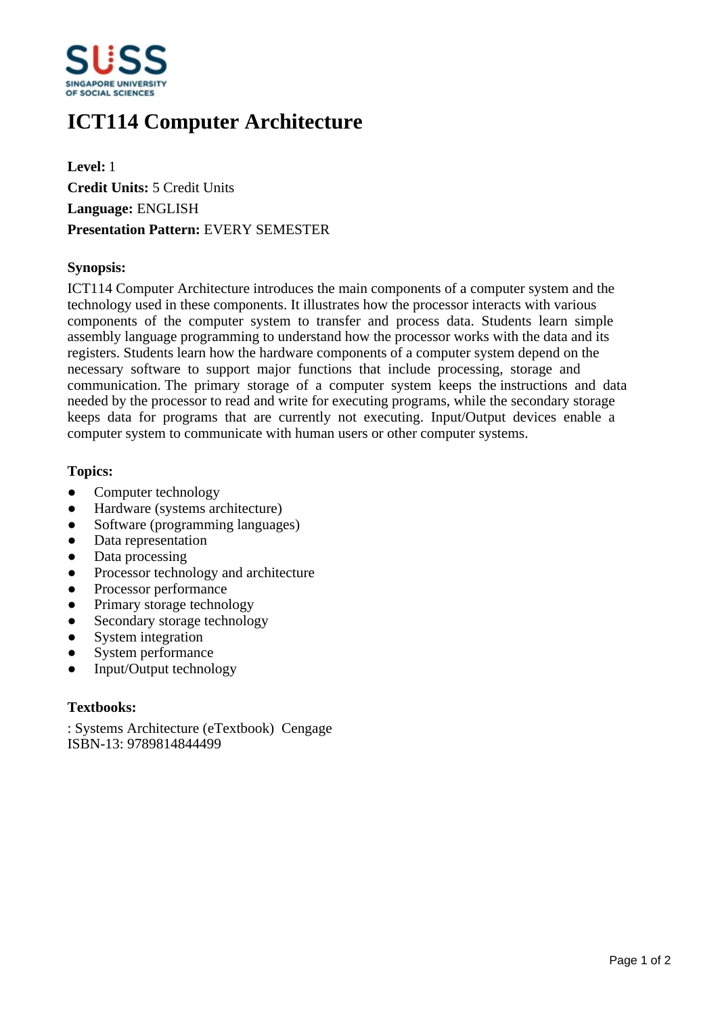

# **ICT114 Computer Architecture**

**Level:** 1 **Credit Units:** 5 Credit Units **Language:** ENGLISH **Presentation Pattern:** EVERY SEMESTER

### **Synopsis:**

ICT114 Computer Architecture introduces the main components of a computer system and the technology used in these components. It illustrates how the processor interacts with various components of the computer system to transfer and process data. Students learn simple assembly language programming to understand how the processor works with the data and its registers. Students learn how the hardware components of a computer system depend on the necessary software to support major functions that include processing, storage and communication. The primary storage of a computer system keeps the instructions and data needed by the processor to read and write for executing programs, while the secondary storage keeps data for programs that are currently not executing. Input/Output devices enable a computer system to communicate with human users or other computer systems.

#### **Topics:**

- Computer technology
- Hardware (systems architecture)
- Software (programming languages)
- Data representation
- Data processing
- Processor technology and architecture
- Processor performance
- Primary storage technology
- Secondary storage technology
- System integration
- System performance
- Input/Output technology

## **Textbooks:**

: Systems Architecture (eTextbook) Cengage ISBN-13: 9789814844499